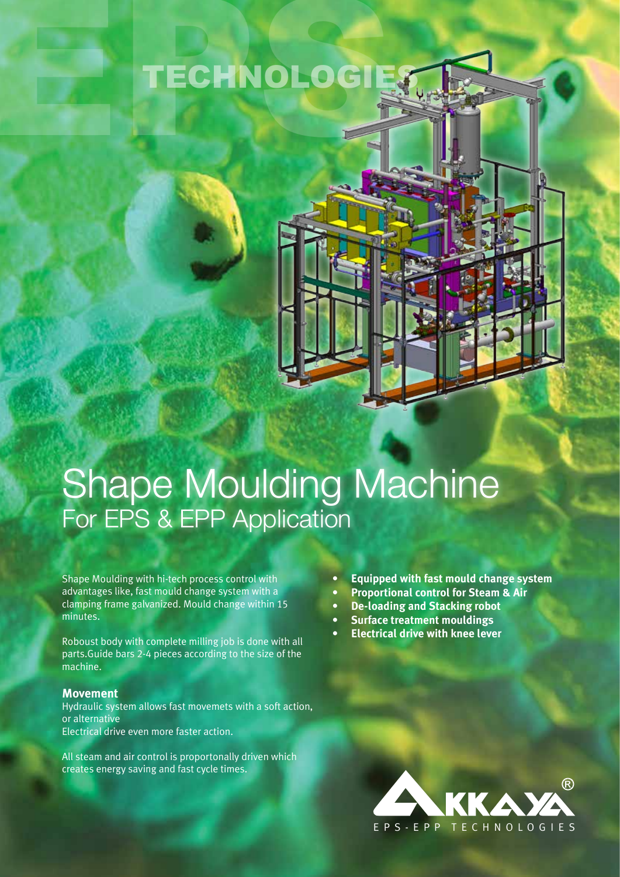## TECHNOLOGIES



Shape Moulding with hi-tech process control with advantages like, fast mould change system with a clamping frame galvanized. Mould change within 15 minutes.

Roboust body with complete milling job is done with all parts.Guide bars 2-4 pieces according to the size of the machine.

## **Movement**

Hydraulic system allows fast movemets with a soft action, or alternative Electrical drive even more faster action.

All steam and air control is proportonally driven which creates energy saving and fast cycle times.

- **• Equipped with fast mould change system**
- **• Proportional control for Steam & Air**
- **• De-loading and Stacking robot**
- **• Surface treatment mouldings**
- **• Electrical drive with knee lever**